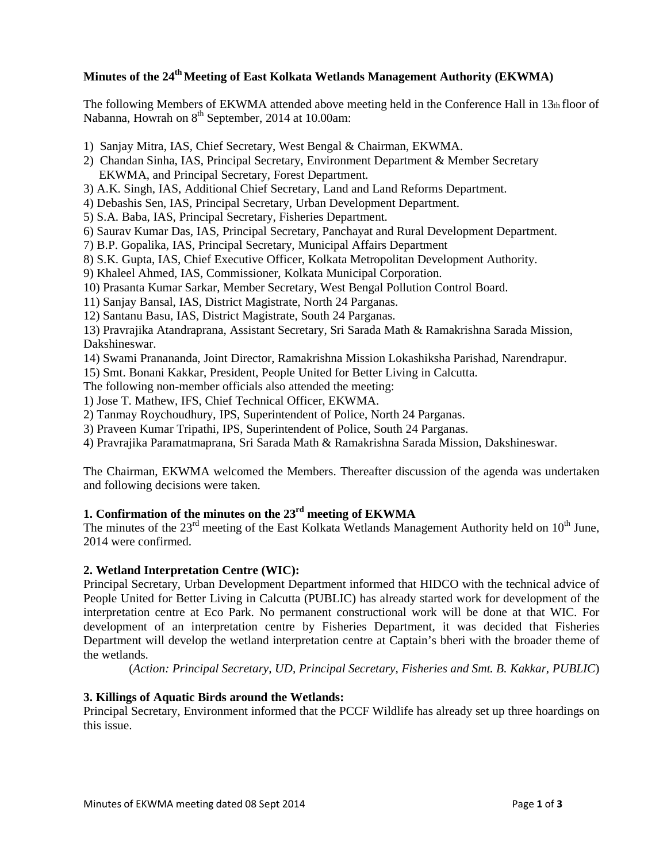# **Minutes of the 24th Meeting of East Kolkata Wetlands Management Authority (EKWMA)**

The following Members of EKWMA attended above meeting held in the Conference Hall in 13th floor of Nabanna, Howrah on  $8<sup>th</sup>$  September, 2014 at 10.00am:

- 1) Sanjay Mitra, IAS, Chief Secretary, West Bengal & Chairman, EKWMA.
- 2) Chandan Sinha, IAS, Principal Secretary, Environment Department & Member Secretary EKWMA, and Principal Secretary, Forest Department.
- 3) A.K. Singh, IAS, Additional Chief Secretary, Land and Land Reforms Department.
- 4) Debashis Sen, IAS, Principal Secretary, Urban Development Department.
- 5) S.A. Baba, IAS, Principal Secretary, Fisheries Department.
- 6) Saurav Kumar Das, IAS, Principal Secretary, Panchayat and Rural Development Department.
- 7) B.P. Gopalika, IAS, Principal Secretary, Municipal Affairs Department
- 8) S.K. Gupta, IAS, Chief Executive Officer, Kolkata Metropolitan Development Authority.
- 9) Khaleel Ahmed, IAS, Commissioner, Kolkata Municipal Corporation.
- 10) Prasanta Kumar Sarkar, Member Secretary, West Bengal Pollution Control Board.
- 11) Sanjay Bansal, IAS, District Magistrate, North 24 Parganas.
- 12) Santanu Basu, IAS, District Magistrate, South 24 Parganas.

13) Pravrajika Atandraprana, Assistant Secretary, Sri Sarada Math & Ramakrishna Sarada Mission, Dakshineswar.

- 14) Swami Pranananda, Joint Director, Ramakrishna Mission Lokashiksha Parishad, Narendrapur.
- 15) Smt. Bonani Kakkar, President, People United for Better Living in Calcutta.

The following non-member officials also attended the meeting:

1) Jose T. Mathew, IFS, Chief Technical Officer, EKWMA.

- 2) Tanmay Roychoudhury, IPS, Superintendent of Police, North 24 Parganas.
- 3) Praveen Kumar Tripathi, IPS, Superintendent of Police, South 24 Parganas.
- 4) Pravrajika Paramatmaprana, Sri Sarada Math & Ramakrishna Sarada Mission, Dakshineswar.

The Chairman, EKWMA welcomed the Members. Thereafter discussion of the agenda was undertaken and following decisions were taken.

# **1. Confirmation of the minutes on the 23rd meeting of EKWMA**

The minutes of the  $23<sup>rd</sup>$  meeting of the East Kolkata Wetlands Management Authority held on  $10<sup>th</sup>$  June, 2014 were confirmed.

#### **2. Wetland Interpretation Centre (WIC):**

Principal Secretary, Urban Development Department informed that HIDCO with the technical advice of People United for Better Living in Calcutta (PUBLIC) has already started work for development of the interpretation centre at Eco Park. No permanent constructional work will be done at that WIC. For development of an interpretation centre by Fisheries Department, it was decided that Fisheries Department will develop the wetland interpretation centre at Captain's bheri with the broader theme of the wetlands.

(*Action: Principal Secretary, UD, Principal Secretary, Fisheries and Smt. B. Kakkar, PUBLIC*)

# **3. Killings of Aquatic Birds around the Wetlands:**

Principal Secretary, Environment informed that the PCCF Wildlife has already set up three hoardings on this issue.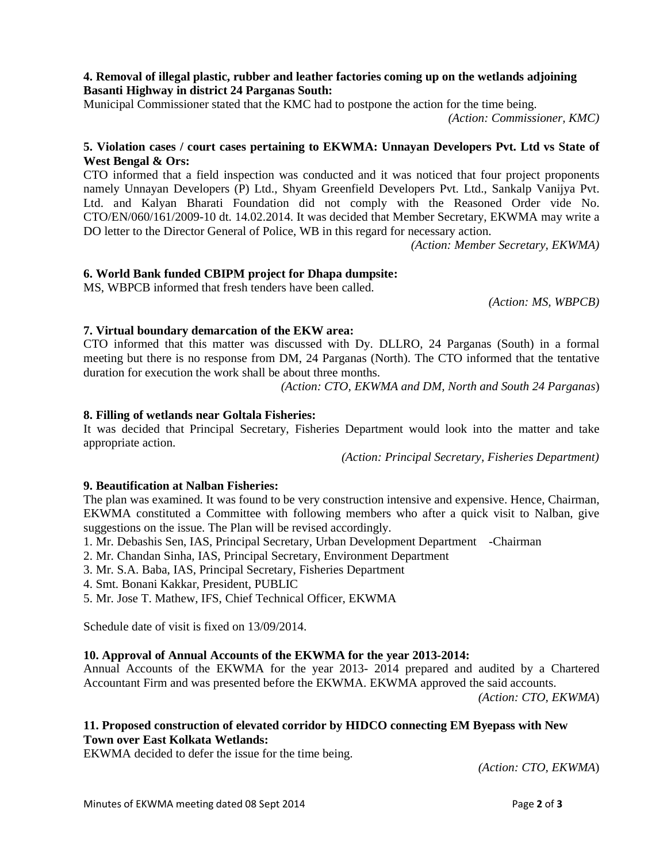#### **4. Removal of illegal plastic, rubber and leather factories coming up on the wetlands adjoining Basanti Highway in district 24 Parganas South:**

Municipal Commissioner stated that the KMC had to postpone the action for the time being.

*(Action: Commissioner, KMC)*

#### **5. Violation cases / court cases pertaining to EKWMA: Unnayan Developers Pvt. Ltd vs State of West Bengal & Ors:**

CTO informed that a field inspection was conducted and it was noticed that four project proponents namely Unnayan Developers (P) Ltd., Shyam Greenfield Developers Pvt. Ltd., Sankalp Vanijya Pvt. Ltd. and Kalyan Bharati Foundation did not comply with the Reasoned Order vide No. CTO/EN/060/161/2009-10 dt. 14.02.2014. It was decided that Member Secretary, EKWMA may write a DO letter to the Director General of Police, WB in this regard for necessary action.

*(Action: Member Secretary, EKWMA)*

# **6. World Bank funded CBIPM project for Dhapa dumpsite:**

MS, WBPCB informed that fresh tenders have been called.

 *(Action: MS, WBPCB)*

# **7. Virtual boundary demarcation of the EKW area:**

CTO informed that this matter was discussed with Dy. DLLRO, 24 Parganas (South) in a formal meeting but there is no response from DM, 24 Parganas (North). The CTO informed that the tentative duration for execution the work shall be about three months.

 *(Action: CTO, EKWMA and DM, North and South 24 Parganas*)

#### **8. Filling of wetlands near Goltala Fisheries:**

It was decided that Principal Secretary, Fisheries Department would look into the matter and take appropriate action.

 *(Action: Principal Secretary, Fisheries Department)* 

#### **9. Beautification at Nalban Fisheries:**

The plan was examined. It was found to be very construction intensive and expensive. Hence, Chairman, EKWMA constituted a Committee with following members who after a quick visit to Nalban, give suggestions on the issue. The Plan will be revised accordingly.

- 1. Mr. Debashis Sen, IAS, Principal Secretary, Urban Development Department -Chairman
- 2. Mr. Chandan Sinha, IAS, Principal Secretary, Environment Department
- 3. Mr. S.A. Baba, IAS, Principal Secretary, Fisheries Department
- 4. Smt. Bonani Kakkar, President, PUBLIC
- 5. Mr. Jose T. Mathew, IFS, Chief Technical Officer, EKWMA

Schedule date of visit is fixed on 13/09/2014.

# **10. Approval of Annual Accounts of the EKWMA for the year 2013-2014:**

Annual Accounts of the EKWMA for the year 2013- 2014 prepared and audited by a Chartered Accountant Firm and was presented before the EKWMA. EKWMA approved the said accounts.

*(Action: CTO, EKWMA*)

#### **11. Proposed construction of elevated corridor by HIDCO connecting EM Byepass with New Town over East Kolkata Wetlands:**

EKWMA decided to defer the issue for the time being.

*(Action: CTO, EKWMA*)